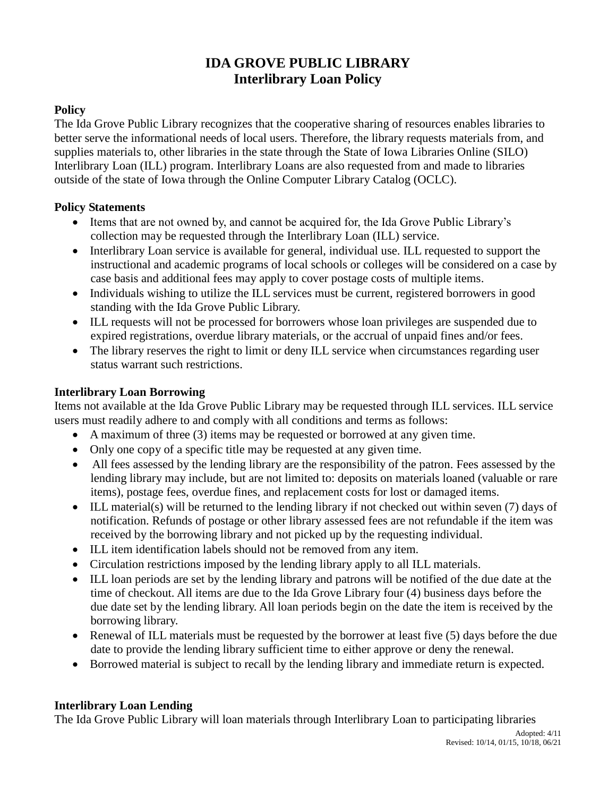# **IDA GROVE PUBLIC LIBRARY Interlibrary Loan Policy**

## **Policy**

The Ida Grove Public Library recognizes that the cooperative sharing of resources enables libraries to better serve the informational needs of local users. Therefore, the library requests materials from, and supplies materials to, other libraries in the state through the State of Iowa Libraries Online (SILO) Interlibrary Loan (ILL) program. Interlibrary Loans are also requested from and made to libraries outside of the state of Iowa through the Online Computer Library Catalog (OCLC).

#### **Policy Statements**

- Items that are not owned by, and cannot be acquired for, the Ida Grove Public Library's collection may be requested through the Interlibrary Loan (ILL) service.
- Interlibrary Loan service is available for general, individual use. ILL requested to support the instructional and academic programs of local schools or colleges will be considered on a case by case basis and additional fees may apply to cover postage costs of multiple items.
- Individuals wishing to utilize the ILL services must be current, registered borrowers in good standing with the Ida Grove Public Library.
- ILL requests will not be processed for borrowers whose loan privileges are suspended due to expired registrations, overdue library materials, or the accrual of unpaid fines and/or fees.
- The library reserves the right to limit or deny ILL service when circumstances regarding user status warrant such restrictions.

### **Interlibrary Loan Borrowing**

Items not available at the Ida Grove Public Library may be requested through ILL services. ILL service users must readily adhere to and comply with all conditions and terms as follows:

- A maximum of three (3) items may be requested or borrowed at any given time.
- Only one copy of a specific title may be requested at any given time.
- All fees assessed by the lending library are the responsibility of the patron. Fees assessed by the lending library may include, but are not limited to: deposits on materials loaned (valuable or rare items), postage fees, overdue fines, and replacement costs for lost or damaged items.
- ILL material(s) will be returned to the lending library if not checked out within seven (7) days of notification. Refunds of postage or other library assessed fees are not refundable if the item was received by the borrowing library and not picked up by the requesting individual.
- ILL item identification labels should not be removed from any item.
- Circulation restrictions imposed by the lending library apply to all ILL materials.
- ILL loan periods are set by the lending library and patrons will be notified of the due date at the time of checkout. All items are due to the Ida Grove Library four (4) business days before the due date set by the lending library. All loan periods begin on the date the item is received by the borrowing library.
- Renewal of ILL materials must be requested by the borrower at least five (5) days before the due date to provide the lending library sufficient time to either approve or deny the renewal.
- Borrowed material is subject to recall by the lending library and immediate return is expected.

#### **Interlibrary Loan Lending**

The Ida Grove Public Library will loan materials through Interlibrary Loan to participating libraries